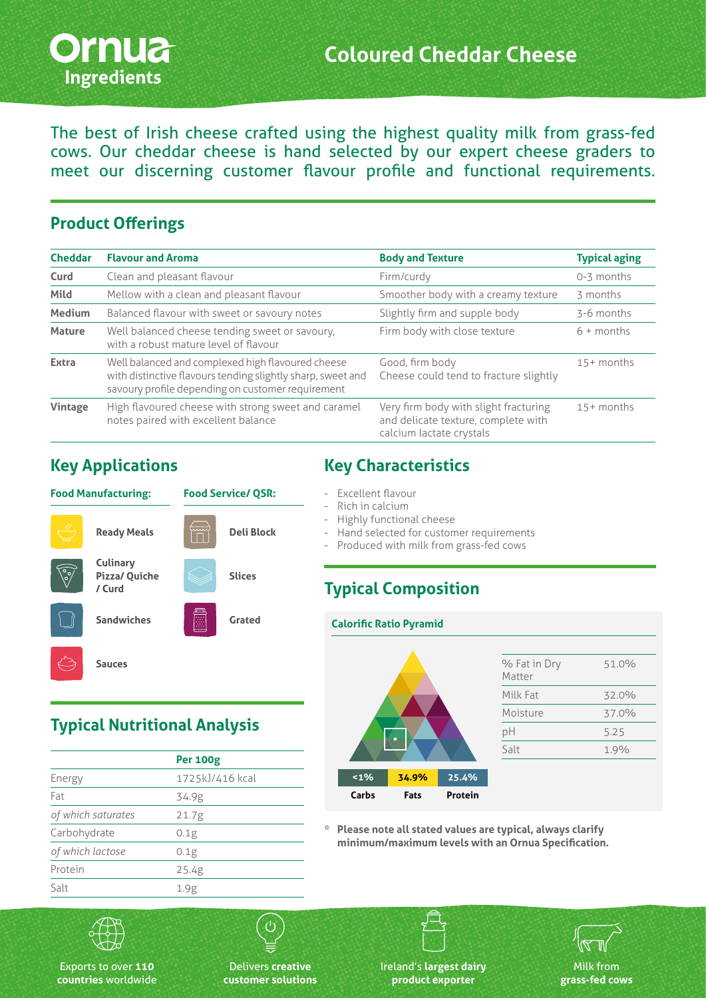

The best of Irish cheese crafted using the highest quality milk from grass-fed cows. Our cheddar cheese is hand selected by our expert cheese graders to meet our discerning customer flavour profile and functional requirements.

#### **Product Offerings**

| <b>Cheddar</b> | <b>Flavour and Aroma</b>                                                                                                                                              | <b>Body and Texture</b>                                                                                  | <b>Typical aging</b> |
|----------------|-----------------------------------------------------------------------------------------------------------------------------------------------------------------------|----------------------------------------------------------------------------------------------------------|----------------------|
| Curd           | Clean and pleasant flavour                                                                                                                                            | Firm/curdy                                                                                               | 0-3 months           |
| Mild           | Mellow with a clean and pleasant flavour                                                                                                                              | Smoother body with a creamy texture                                                                      | 3 months             |
| <b>Medium</b>  | Balanced flavour with sweet or savoury notes                                                                                                                          | Slightly firm and supple body                                                                            | 3-6 months           |
| <b>Mature</b>  | Well balanced cheese tending sweet or savoury,<br>with a robust mature level of flavour                                                                               | Firm body with close texture                                                                             | $6 +$ months         |
| <b>Extra</b>   | Well balanced and complexed high flavoured cheese<br>with distinctive flavours tending slightly sharp, sweet and<br>savoury profile depending on customer requirement | Good, firm body<br>Cheese could tend to fracture slightly                                                | $15+$ months         |
| Vintage        | High flavoured cheese with strong sweet and caramel<br>notes paired with excellent balance                                                                            | Very firm body with slight fracturing<br>and delicate texture, complete with<br>calcium lactate crystals | $15+$ months         |

#### **Key Applications**



### **Key Characteristics**

- Excellent flavour
- Rich in calcium
- Highly functional cheese

**Calorific Ratio Pyramid**

- Hand selected for customer requirements
- Produced with milk from grass-fed cows

#### **Typical Composition**

# **<1% 34.9% 25.4% Carbs Fats Protein**

| % Fat in Dry<br>Matter | 51.0% |
|------------------------|-------|
| Milk Fat               | 32.0% |
| Moisture               | 37.0% |
| рH                     | 5.25  |
| Salt                   | 1.9%  |
|                        |       |

**\* Please note all stated values are typical, always clarify minimum/maximum levels with an Ornua Specification.**

## **Typical Nutritional Analysis**

|                    | <b>Per 100g</b> |
|--------------------|-----------------|
| Energy             | 1725kJ/416 kcal |
| Fat                | 34.9g           |
| of which saturates | 21.7g           |
| Carbohydrate       | 0.1g            |
| of which lactose   | 0.1g            |
| Protein            | 25.4g           |
| Salt               | 1.9g            |



Exports to over **110 countries** worldwide

Delivers **creative customer solutions** Ireland's **largest dairy product exporter**